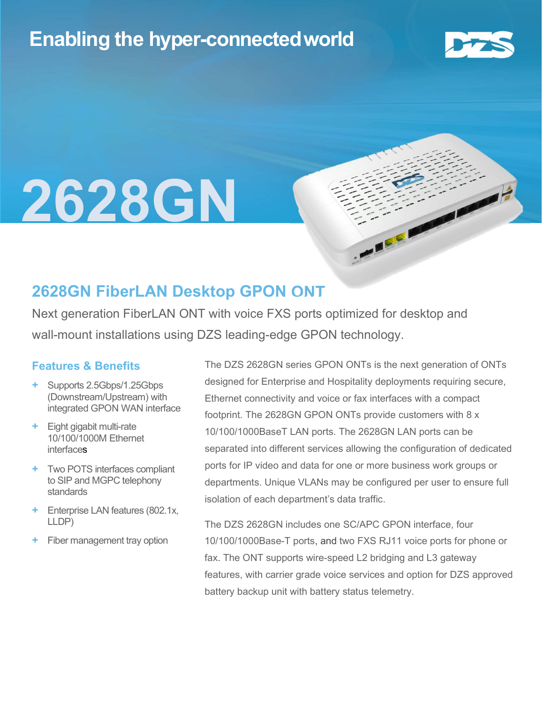## Enabling the hyper-connectedworld



## l 2628GN

### 2628GN FiberLAN Desktop GPON ONT

Next generation FiberLAN ONT with voice FXS ports optimized for desktop and wall-mount installations using DZS leading-edge GPON technology.

#### Features & Benefits

- + Supports 2.5Gbps/1.25Gbps (Downstream/Upstream) with integrated GPON WAN interface
- Eight gigabit multi-rate 10/100/1000M Ethernet interfaces
- + Two POTS interfaces compliant to SIP and MGPC telephony standards
- + Enterprise LAN features (802.1x, LLDP)
- Fiber management tray option

The DZS 2628GN series GPON ONTs is the next generation of ONTs designed for Enterprise and Hospitality deployments requiring secure, Ethernet connectivity and voice or fax interfaces with a compact footprint. The 2628GN GPON ONTs provide customers with 8 x 10/100/1000BaseT LAN ports. The 2628GN LAN ports can be separated into different services allowing the configuration of dedicated ports for IP video and data for one or more business work groups or departments. Unique VLANs may be configured per user to ensure full isolation of each department's data traffic.

**CALLE** 

The DZS 2628GN includes one SC/APC GPON interface, four 10/100/1000Base-T ports, and two FXS RJ11 voice ports for phone or fax. The ONT supports wire-speed L2 bridging and L3 gateway features, with carrier grade voice services and option for DZS approved battery backup unit with battery status telemetry.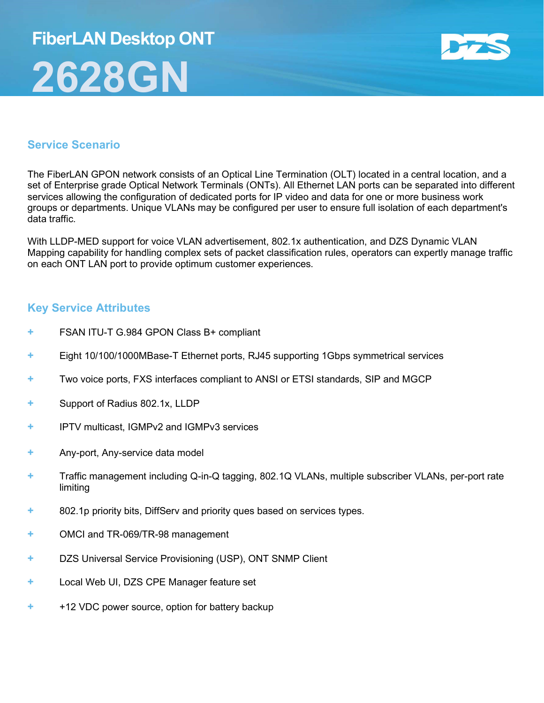# FiberLAN Desktop ONT 2628GN



#### Service Scenario

The FiberLAN GPON network consists of an Optical Line Termination (OLT) located in a central location, and a set of Enterprise grade Optical Network Terminals (ONTs). All Ethernet LAN ports can be separated into different services allowing the configuration of dedicated ports for IP video and data for one or more business work groups or departments. Unique VLANs may be configured per user to ensure full isolation of each department's data traffic.

With LLDP-MED support for voice VLAN advertisement, 802.1x authentication, and DZS Dynamic VLAN Mapping capability for handling complex sets of packet classification rules, operators can expertly manage traffic on each ONT LAN port to provide optimum customer experiences.

#### Key Service Attributes

- FSAN ITU-T G.984 GPON Class B+ compliant
- + Eight 10/100/1000MBase-T Ethernet ports, RJ45 supporting 1Gbps symmetrical services
- + Two voice ports, FXS interfaces compliant to ANSI or ETSI standards, SIP and MGCP
- + Support of Radius 802.1x, LLDP
- + IPTV multicast, IGMPv2 and IGMPv3 services
- + Any-port, Any-service data model
- + Traffic management including Q-in-Q tagging, 802.1Q VLANs, multiple subscriber VLANs, per-port rate limiting
- + 802.1p priority bits, DiffServ and priority ques based on services types.
- + OMCI and TR-069/TR-98 management
- + DZS Universal Service Provisioning (USP), ONT SNMP Client
- + Local Web UI, DZS CPE Manager feature set
- + +12 VDC power source, option for battery backup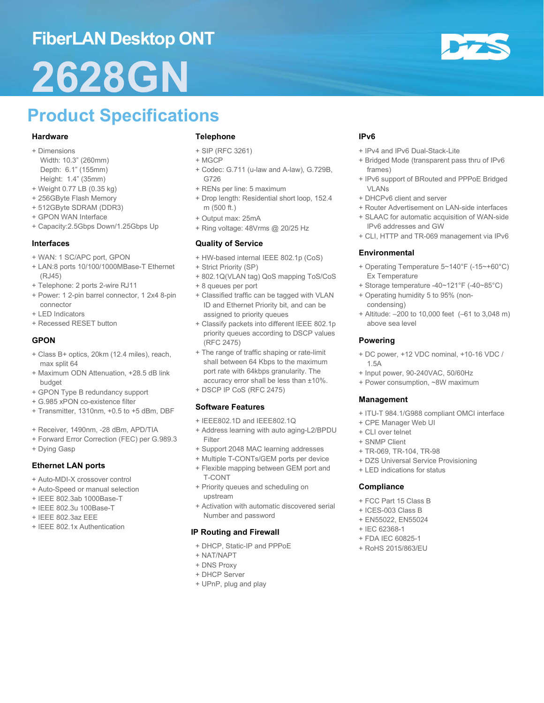## FiberLAN Desktop ONT

# 2628GN

## Product Specifications

#### Hardware

- + Dimensions
- Width: 10.3" (260mm) Depth: 6.1" (155mm) Height: 1.4" (35mm)
- + Weight 0.77 LB (0.35 kg)
- + 256GByte Flash Memory
- + 512GByte SDRAM (DDR3)
- + GPON WAN Interface
- + Capacity:2.5Gbps Down/1.25Gbps Up

#### Interfaces

- + WAN: 1 SC/APC port, GPON
- + LAN:8 ports 10/100/1000MBase-T Ethernet (RJ45)
- + Telephone: 2 ports 2-wire RJ11
- + Power: 1 2-pin barrel connector, 1 2x4 8-pin connector
- + LED Indicators
- + Recessed RESET button

#### **GPON**

- + Class B+ optics, 20km (12.4 miles), reach, max split 64
- + Maximum ODN Attenuation, +28.5 dB link budget
- + GPON Type B redundancy support
- + G.985 xPON co-existence filter
- + Transmitter, 1310nm, +0.5 to +5 dBm, DBF
- + Receiver, 1490nm, -28 dBm, APD/TIA
- + Forward Error Correction (FEC) per G.989.3
- + Dying Gasp

#### Ethernet LAN ports

- + Auto-MDI-X crossover control
- + Auto-Speed or manual selection
- + IEEE 802.3ab 1000Base-T
- + IEEE 802.3u 100Base-T
- + IEEE 802.3az EEE
- + IEEE 802.1x Authentication

#### Telephone

- + SIP (RFC 3261)
- + MGCP
- + Codec: G.711 (u-law and A-law), G.729B, G726
- + RENs per line: 5 maximum
- + Drop length: Residential short loop, 152.4 m (500 ft.)
- + Output max: 25mA
- + Ring voltage: 48Vrms @ 20/25 Hz

#### Quality of Service

- + HW-based internal IEEE 802.1p (CoS)
- + Strict Priority (SP)
- + 802.1Q(VLAN tag) QoS mapping ToS/CoS
- + 8 queues per port
- + Classified traffic can be tagged with VLAN ID and Ethernet Priority bit, and can be assigned to priority queues
- + Classify packets into different IEEE 802.1p priority queues according to DSCP values (RFC 2475)
- + The range of traffic shaping or rate-limit shall between 64 Kbps to the maximum port rate with 64kbps granularity. The accuracy error shall be less than ±10%.
- + DSCP IP CoS (RFC 2475)

#### Software Features

- + IEEE802.1D and IEEE802.1Q
- + Address learning with auto aging-L2/BPDU Filter
- + Support 2048 MAC learning addresses
- + Multiple T-CONTs/GEM ports per device
- + Flexible mapping between GEM port and T-CONT
- + Priority queues and scheduling on upstream
- + Activation with automatic discovered serial Number and password

#### IP Routing and Firewall

- + DHCP, Static-IP and PPPoE
- + NAT/NAPT
	- + DNS Proxy
	- + DHCP Server
	- + UPnP, plug and play

#### IPv6

- + IPv4 and IPv6 Dual-Stack-Lite
- + Bridged Mode (transparent pass thru of IPv6 frames)
- + IPv6 support of BRouted and PPPoE Bridged VLANs
- + DHCPv6 client and server
- + Router Advertisement on LAN-side interfaces
- + SLAAC for automatic acquisition of WAN-side IPv6 addresses and GW
- + CLI, HTTP and TR-069 management via IPv6

#### Environmental

- + Operating Temperature 5~140°F (-15~+60°C) Ex Temperature
- + Storage temperature -40~121°F (-40~85°C)
- + Operating humidity 5 to 95% (noncondensing)
- + Altitude: –200 to 10,000 feet (–61 to 3,048 m) above sea level

#### Powering

- + DC power, +12 VDC nominal, +10-16 VDC / 1.5A
- + Input power, 90-240VAC, 50/60Hz
- + Power consumption, ~8W maximum

#### Management

- + ITU-T 984.1/G988 compliant OMCI interface
- + CPE Manager Web UI
- + CLI over telnet
- + SNMP Client
- + TR-069, TR-104, TR-98
- + DZS Universal Service Provisioning
- + LED indications for status

#### **Compliance**

- + FCC Part 15 Class B
- + ICES-003 Class B
- + EN55022, EN55024
- + IEC 62368-1
- + FDA IEC 60825-1
- + RoHS 2015/863/EU